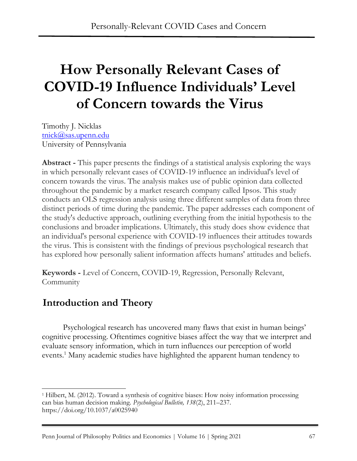# **How Personally Relevant Cases of COVID-19 Influence Individuals' Level of Concern towards the Virus**

Timothy J. Nicklas [tnick@sas.upenn.edu](mailto:tnick@sas.upenn.edu) University of Pennsylvania

**Abstract -** This paper presents the findings of a statistical analysis exploring the ways in which personally relevant cases of COVID-19 influence an individual's level of concern towards the virus. The analysis makes use of public opinion data collected throughout the pandemic by a market research company called Ipsos. This study conducts an OLS regression analysis using three different samples of data from three distinct periods of time during the pandemic. The paper addresses each component of the study's deductive approach, outlining everything from the initial hypothesis to the conclusions and broader implications. Ultimately, this study does show evidence that an individual's personal experience with COVID-19 influences their attitudes towards the virus. This is consistent with the findings of previous psychological research that has explored how personally salient information affects humans' attitudes and beliefs.

**Keywords -** Level of Concern, COVID-19, Regression, Personally Relevant, **Community** 

### **Introduction and Theory**

Psychological research has uncovered many flaws that exist in human beings' cognitive processing. Oftentimes cognitive biases affect the way that we interpret and evaluate sensory information, which in turn influences our perception of world events.<sup>1</sup> Many academic studies have highlighted the apparent human tendency to

<sup>1</sup> Hilbert, M. (2012). Toward a synthesis of cognitive biases: How noisy information processing can bias human decision making. *Psychological Bulletin, 138*(2), 211–237. https://doi.org/10.1037/a0025940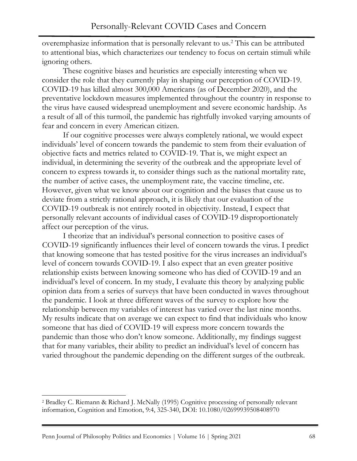overemphasize information that is personally relevant to us.<sup>2</sup> This can be attributed to attentional bias, which characterizes our tendency to focus on certain stimuli while ignoring others.

These cognitive biases and heuristics are especially interesting when we consider the role that they currently play in shaping our perception of COVID-19. COVID-19 has killed almost 300,000 Americans (as of December 2020), and the preventative lockdown measures implemented throughout the country in response to the virus have caused widespread unemployment and severe economic hardship. As a result of all of this turmoil, the pandemic has rightfully invoked varying amounts of fear and concern in every American citizen.

If our cognitive processes were always completely rational, we would expect individuals' level of concern towards the pandemic to stem from their evaluation of objective facts and metrics related to COVID-19. That is, we might expect an individual, in determining the severity of the outbreak and the appropriate level of concern to express towards it, to consider things such as the national mortality rate, the number of active cases, the unemployment rate, the vaccine timeline, etc. However, given what we know about our cognition and the biases that cause us to deviate from a strictly rational approach, it is likely that our evaluation of the COVID-19 outbreak is not entirely rooted in objectivity. Instead, I expect that personally relevant accounts of individual cases of COVID-19 disproportionately affect our perception of the virus.

I theorize that an individual's personal connection to positive cases of COVID-19 significantly influences their level of concern towards the virus. I predict that knowing someone that has tested positive for the virus increases an individual's level of concern towards COVID-19. I also expect that an even greater positive relationship exists between knowing someone who has died of COVID-19 and an individual's level of concern. In my study, I evaluate this theory by analyzing public opinion data from a series of surveys that have been conducted in waves throughout the pandemic. I look at three different waves of the survey to explore how the relationship between my variables of interest has varied over the last nine months. My results indicate that on average we can expect to find that individuals who know someone that has died of COVID-19 will express more concern towards the pandemic than those who don't know someone. Additionally, my findings suggest that for many variables, their ability to predict an individual's level of concern has varied throughout the pandemic depending on the different surges of the outbreak.

<sup>2</sup> Bradley C. Riemann & Richard J. McNally (1995) Cognitive processing of personally relevant information, Cognition and Emotion, 9:4, 325-340, DOI: 10.1080/02699939508408970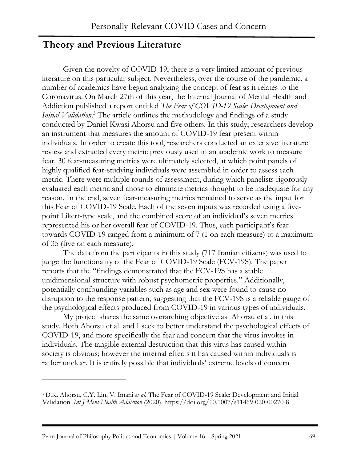#### **Theory and Previous Literature**

Given the novelty of COVID-19, there is a very limited amount of previous literature on this particular subject. Nevertheless, over the course of the pandemic, a number of academics have begun analyzing the concept of fear as it relates to the Coronavirus. On March 27th of this year, the Internal Journal of Mental Health and Addiction published a report entitled *The Fear of COVID-19 Scale: Development and Initial Validation*. <sup>3</sup> The article outlines the methodology and findings of a study conducted by Daniel Kwasi Ahorsu and five others. In this study, researchers develop an instrument that measures the amount of COVID-19 fear present within individuals. In order to create this tool, researchers conducted an extensive literature review and extracted every metric previously used in an academic work to measure fear. 30 fear-measuring metrics were ultimately selected, at which point panels of highly qualified fear-studying individuals were assembled in order to assess each metric. There were multiple rounds of assessment, during which panelists rigorously evaluated each metric and chose to eliminate metrics thought to be inadequate for any reason. In the end, seven fear-measuring metrics remained to serve as the input for this Fear of COVID-19 Scale. Each of the seven inputs was recorded using a fivepoint Likert-type scale, and the combined score of an individual's seven metrics represented his or her overall fear of COVID-19. Thus, each participant's fear towards COVID-19 ranged from a minimum of 7 (1 on each measure) to a maximum of 35 (five on each measure).

The data from the participants in this study (717 Iranian citizens) was used to judge the functionality of the Fear of COVID-19 Scale (FCV-19S). The paper reports that the "findings demonstrated that the FCV-19S has a stable unidimensional structure with robust psychometric properties." Additionally, potentially confounding variables such as age and sex were found to cause no disruption to the response pattern, suggesting that the FCV-19S is a reliable gauge of the psychological effects produced from COVID-19 in various types of individuals.

My project shares the same overarching objective as Ahorsu et al. in this study. Both Ahorsu et al. and I seek to better understand the psychological effects of COVID-19, and more specifically the fear and concern that the virus invokes in individuals. The tangible external destruction that this virus has caused within society is obvious; however the internal effects it has caused within individuals is rather unclear. It is entirely possible that individuals' extreme levels of concern

<sup>3</sup> D.K. Ahorsu, C.Y. Lin, V. Imani *et al.* The Fear of COVID-19 Scale: Development and Initial Validation. *Int J Ment Health Addiction* (2020). https://doi.org/10.1007/s11469-020-00270-8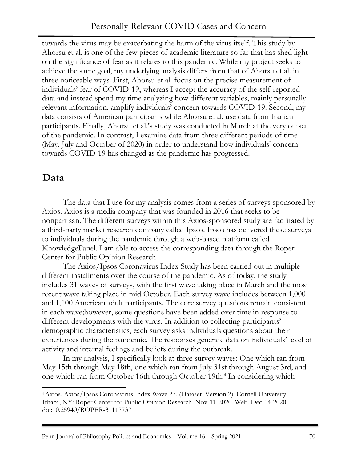towards the virus may be exacerbating the harm of the virus itself. This study by Ahorsu et al. is one of the few pieces of academic literature so far that has shed light on the significance of fear as it relates to this pandemic. While my project seeks to achieve the same goal, my underlying analysis differs from that of Ahorsu et al. in three noticeable ways. First, Ahorsu et al. focus on the precise measurement of individuals' fear of COVID-19, whereas I accept the accuracy of the self-reported data and instead spend my time analyzing how different variables, mainly personally relevant information, amplify individuals' concern towards COVID-19. Second, my data consists of American participants while Ahorsu et al. use data from Iranian participants. Finally, Ahorsu et al.'s study was conducted in March at the very outset of the pandemic. In contrast, I examine data from three different periods of time (May, July and October of 2020) in order to understand how individuals' concern towards COVID-19 has changed as the pandemic has progressed.

## **Data**

The data that I use for my analysis comes from a series of surveys sponsored by Axios. Axios is a media company that was founded in 2016 that seeks to be nonpartisan. The different surveys within this Axios-sponsored study are facilitated by a third-party market research company called Ipsos. Ipsos has delivered these surveys to individuals during the pandemic through a web-based platform called KnowledgePanel. I am able to access the corresponding data through the Roper Center for Public Opinion Research.

The Axios/Ipsos Coronavirus Index Study has been carried out in multiple different installments over the course of the pandemic. As of today, the study includes 31 waves of surveys, with the first wave taking place in March and the most recent wave taking place in mid October. Each survey wave includes between 1,000 and 1,100 American adult participants. The core survey questions remain consistent in each wave;however, some questions have been added over time in response to different developments with the virus. In addition to collecting participants' demographic characteristics, each survey asks individuals questions about their experiences during the pandemic. The responses generate data on individuals' level of activity and internal feelings and beliefs during the outbreak.

In my analysis, I specifically look at three survey waves: One which ran from May 15th through May 18th, one which ran from July 31st through August 3rd, and one which ran from October 16th through October 19th.<sup>4</sup> In considering which

<sup>4</sup>Axios. Axios/Ipsos Coronavirus Index Wave 27. (Dataset, Version 2). Cornell University, Ithaca, NY: Roper Center for Public Opinion Research, Nov-11-2020. Web. Dec-14-2020. doi:10.25940/ROPER-31117737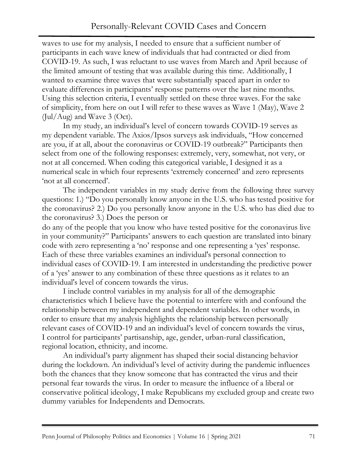waves to use for my analysis, I needed to ensure that a sufficient number of participants in each wave knew of individuals that had contracted or died from COVID-19. As such, I was reluctant to use waves from March and April because of the limited amount of testing that was available during this time. Additionally, I wanted to examine three waves that were substantially spaced apart in order to evaluate differences in participants' response patterns over the last nine months. Using this selection criteria, I eventually settled on these three waves. For the sake of simplicity, from here on out I will refer to these waves as Wave 1 (May), Wave 2  $(Jul/Aug)$  and Wave 3 (Oct).

In my study, an individual's level of concern towards COVID-19 serves as my dependent variable. The Axios/Ipsos surveys ask individuals, "How concerned are you, if at all, about the coronavirus or COVID-19 outbreak?" Participants then select from one of the following responses: extremely, very, somewhat, not very, or not at all concerned. When coding this categorical variable, I designed it as a numerical scale in which four represents 'extremely concerned' and zero represents 'not at all concerned'.

The independent variables in my study derive from the following three survey questions: 1.) "Do you personally know anyone in the U.S. who has tested positive for the coronavirus? 2.) Do you personally know anyone in the U.S. who has died due to the coronavirus? 3.) Does the person or

do any of the people that you know who have tested positive for the coronavirus live in your community?" Participants' answers to each question are translated into binary code with zero representing a 'no' response and one representing a 'yes' response. Each of these three variables examines an individual's personal connection to individual cases of COVID-19. I am interested in understanding the predictive power of a 'yes' answer to any combination of these three questions as it relates to an individual's level of concern towards the virus.

I include control variables in my analysis for all of the demographic characteristics which I believe have the potential to interfere with and confound the relationship between my independent and dependent variables. In other words, in order to ensure that my analysis highlights the relationship between personally relevant cases of COVID-19 and an individual's level of concern towards the virus, I control for participants' partisanship, age, gender, urban-rural classification, regional location, ethnicity, and income.

An individual's party alignment has shaped their social distancing behavior during the lockdown. An individual's level of activity during the pandemic influences both the chances that they know someone that has contracted the virus and their personal fear towards the virus. In order to measure the influence of a liberal or conservative political ideology, I make Republicans my excluded group and create two dummy variables for Independents and Democrats.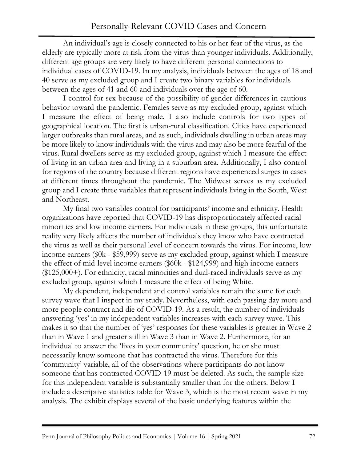An individual's age is closely connected to his or her fear of the virus, as the elderly are typically more at risk from the virus than younger individuals. Additionally, different age groups are very likely to have different personal connections to individual cases of COVID-19. In my analysis, individuals between the ages of 18 and 40 serve as my excluded group and I create two binary variables for individuals between the ages of 41 and 60 and individuals over the age of 60.

I control for sex because of the possibility of gender differences in cautious behavior toward the pandemic. Females serve as my excluded group, against which I measure the effect of being male. I also include controls for two types of geographical location. The first is urban-rural classification. Cities have experienced larger outbreaks than rural areas, and as such, individuals dwelling in urban areas may be more likely to know individuals with the virus and may also be more fearful of the virus. Rural dwellers serve as my excluded group, against which I measure the effect of living in an urban area and living in a suburban area. Additionally, I also control for regions of the country because different regions have experienced surges in cases at different times throughout the pandemic. The Midwest serves as my excluded group and I create three variables that represent individuals living in the South, West and Northeast.

My final two variables control for participants' income and ethnicity. Health organizations have reported that COVID-19 has disproportionately affected racial minorities and low income earners. For individuals in these groups, this unfortunate reality very likely affects the number of individuals they know who have contracted the virus as well as their personal level of concern towards the virus. For income, low income earners (\$0k - \$59,999) serve as my excluded group, against which I measure the effect of mid-level income earners (\$60k - \$124,999) and high income earners (\$125,000+). For ethnicity, racial minorities and dual-raced individuals serve as my excluded group, against which I measure the effect of being White.

My dependent, independent and control variables remain the same for each survey wave that I inspect in my study. Nevertheless, with each passing day more and more people contract and die of COVID-19. As a result, the number of individuals answering 'yes' in my independent variables increases with each survey wave. This makes it so that the number of 'yes' responses for these variables is greater in Wave 2 than in Wave 1 and greater still in Wave 3 than in Wave 2. Furthermore, for an individual to answer the 'lives in your community' question, he or she must necessarily know someone that has contracted the virus. Therefore for this 'community' variable, all of the observations where participants do not know someone that has contracted COVID-19 must be deleted. As such, the sample size for this independent variable is substantially smaller than for the others. Below I include a descriptive statistics table for Wave 3, which is the most recent wave in my analysis. The exhibit displays several of the basic underlying features within the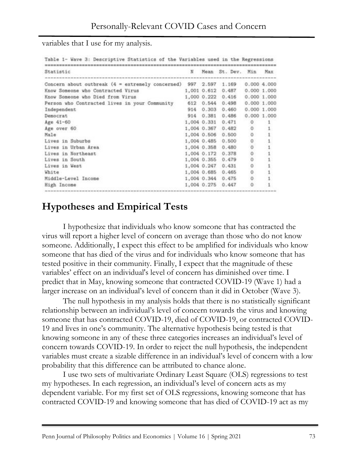variables that I use for my analysis.

| Statistic                                                          | N | Mean St. Dev. Min Max |                         |    |
|--------------------------------------------------------------------|---|-----------------------|-------------------------|----|
| Concern about outbreak $(4 =$ extremely concerned) 997 2.597 1.169 |   |                       | 0.0004.000              |    |
| Know Someone who Contracted Virus                                  |   | 1,001 0.612 0.487     | 0.0001.000              |    |
| Know Someone who Died from Virus                                   |   | 1,000 0.222 0.416     | 0.0001.000              |    |
| Person who Contracted lives in your Community                      |   | 612 0.544 0.498       | 0.0001.000              |    |
| Independent                                                        |   | 914 0.303 0.460       | 0.0001.000              |    |
| Democrat                                                           |   | 914 0.381 0.486       | 0.000 1.000             |    |
| Age 41-60                                                          |   | 1,004 0.331 0.471     | $\cdot$ O               | -1 |
| Age over 60                                                        |   | 1,004 0.367 0.482     | $\circ$                 |    |
| Male                                                               |   | 1,004 0.506 0.500     | $\circ$                 |    |
| Lives in Suburbs                                                   |   | 1,004 0.485 0.500     |                         |    |
| Lives in Urban Area                                                |   | 1,004 0.358 0.480     | $\circ$ $\circ$ $\circ$ |    |
| Lives in Northeast                                                 |   | 1,004 0.172 0.378     |                         |    |
| Lives in South                                                     |   | 1,004 0.355 0.479     |                         |    |
| Lives in West                                                      |   | 1,004 0.247 0.431     | $\circ$                 |    |
| White                                                              |   | 1,004 0.685 0.465     | $\circ$                 |    |
| Middle-Level Income                                                |   | 1,004 0.344 0.475     | $\circ$                 |    |
| High Income                                                        |   | 1,004 0.275 0.447     | 0                       |    |

# **Hypotheses and Empirical Tests**

I hypothesize that individuals who know someone that has contracted the virus will report a higher level of concern on average than those who do not know someone. Additionally, I expect this effect to be amplified for individuals who know someone that has died of the virus and for individuals who know someone that has tested positive in their community. Finally, I expect that the magnitude of these variables' effect on an individual's level of concern has diminished over time. I predict that in May, knowing someone that contracted COVID-19 (Wave 1) had a larger increase on an individual's level of concern than it did in October (Wave 3).

The null hypothesis in my analysis holds that there is no statistically significant relationship between an individual's level of concern towards the virus and knowing someone that has contracted COVID-19, died of COVID-19, or contracted COVID-19 and lives in one's community. The alternative hypothesis being tested is that knowing someone in any of these three categories increases an individual's level of concern towards COVID-19. In order to reject the null hypothesis, the independent variables must create a sizable difference in an individual's level of concern with a low probability that this difference can be attributed to chance alone.

I use two sets of multivariate Ordinary Least Square (OLS) regressions to test my hypotheses. In each regression, an individual's level of concern acts as my dependent variable. For my first set of OLS regressions, knowing someone that has contracted COVID-19 and knowing someone that has died of COVID-19 act as my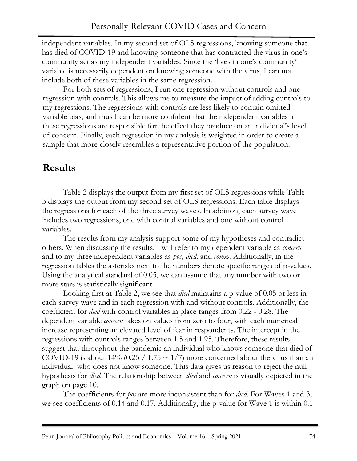independent variables. In my second set of OLS regressions, knowing someone that has died of COVID-19 and knowing someone that has contracted the virus in one's community act as my independent variables. Since the 'lives in one's community' variable is necessarily dependent on knowing someone with the virus, I can not include both of these variables in the same regression.

For both sets of regressions, I run one regression without controls and one regression with controls. This allows me to measure the impact of adding controls to my regressions. The regressions with controls are less likely to contain omitted variable bias, and thus I can be more confident that the independent variables in these regressions are responsible for the effect they produce on an individual's level of concern. Finally, each regression in my analysis is weighted in order to create a sample that more closely resembles a representative portion of the population.

# **Results**

Table 2 displays the output from my first set of OLS regressions while Table 3 displays the output from my second set of OLS regressions. Each table displays the regressions for each of the three survey waves. In addition, each survey wave includes two regressions, one with control variables and one without control variables.

The results from my analysis support some of my hypotheses and contradict others. When discussing the results, I will refer to my dependent variable as *concern*  and to my three independent variables as *pos, died,* and *comm*. Additionally, in the regression tables the asterisks next to the numbers denote specific ranges of p-values. Using the analytical standard of 0.05, we can assume that any number with two or more stars is statistically significant.

Looking first at Table 2, we see that *died* maintains a p-value of 0.05 or less in each survey wave and in each regression with and without controls. Additionally, the coefficient for *died* with control variables in place ranges from 0.22 - 0.28. The dependent variable *concern* takes on values from zero to four, with each numerical increase representing an elevated level of fear in respondents. The intercept in the regressions with controls ranges between 1.5 and 1.95. Therefore, these results suggest that throughout the pandemic an individual who knows someone that died of COVID-19 is about 14% (0.25 / 1.75  $\sim$  1/7) more concerned about the virus than an individual who does not know someone. This data gives us reason to reject the null hypothesis for *died.* The relationship between *died* and *concern* is visually depicted in the graph on page 10.

The coefficients for *pos* are more inconsistent than for *died*. For Waves 1 and 3, we see coefficients of 0.14 and 0.17. Additionally, the p-value for Wave 1 is within 0.1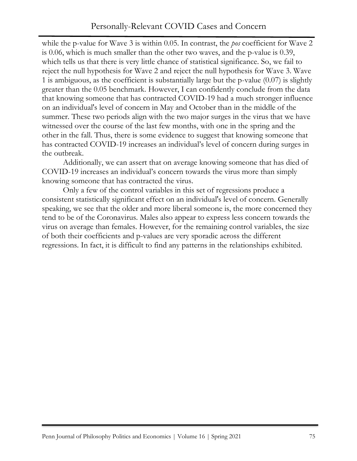while the p-value for Wave 3 is within 0.05. In contrast, the *pos* coefficient for Wave 2 is 0.06, which is much smaller than the other two waves, and the p-value is 0.39, which tells us that there is very little chance of statistical significance. So, we fail to reject the null hypothesis for Wave 2 and reject the null hypothesis for Wave 3. Wave 1 is ambiguous, as the coefficient is substantially large but the p-value (0.07) is slightly greater than the 0.05 benchmark. However, I can confidently conclude from the data that knowing someone that has contracted COVID-19 had a much stronger influence on an individual's level of concern in May and October than in the middle of the summer. These two periods align with the two major surges in the virus that we have witnessed over the course of the last few months, with one in the spring and the other in the fall. Thus, there is some evidence to suggest that knowing someone that has contracted COVID-19 increases an individual's level of concern during surges in the outbreak.

Additionally, we can assert that on average knowing someone that has died of COVID-19 increases an individual's concern towards the virus more than simply knowing someone that has contracted the virus.

Only a few of the control variables in this set of regressions produce a consistent statistically significant effect on an individual's level of concern. Generally speaking, we see that the older and more liberal someone is, the more concerned they tend to be of the Coronavirus. Males also appear to express less concern towards the virus on average than females. However, for the remaining control variables, the size of both their coefficients and p-values are very sporadic across the different regressions. In fact, it is difficult to find any patterns in the relationships exhibited.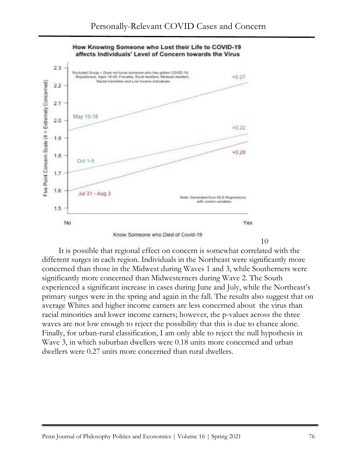

How Knowing Someone who Lost their Life to COVID-19 affects Individuals' Level of Concern towards the Virus

It is possible that regional effect on concern is somewhat correlated with the different surges in each region. Individuals in the Northeast were significantly more concerned than those in the Midwest during Waves 1 and 3, while Southerners were significantly more concerned than Midwesterners during Wave 2. The South experienced a significant increase in cases during June and July, while the Northeast's primary surges were in the spring and again in the fall. The results also suggest that on average Whites and higher income earners are less concerned about the virus than racial minorities and lower income earners; however, the p-values across the three waves are not low enough to reject the possibility that this is due to chance alone. Finally, for urban-rural classification, I am only able to reject the null hypothesis in Wave 3, in which suburban dwellers were 0.18 units more concerned and urban dwellers were 0.27 units more concerned than rural dwellers.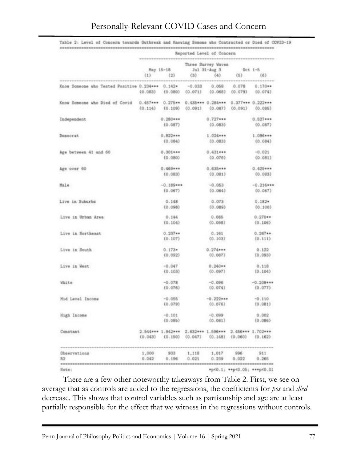|                                                  | Reported Level of Concern<br> |                                                           |                     |                                           |                                           |                             |  |  |  |
|--------------------------------------------------|-------------------------------|-----------------------------------------------------------|---------------------|-------------------------------------------|-------------------------------------------|-----------------------------|--|--|--|
|                                                  | (1)                           | May 15-18<br>(2)                                          | (3)                 | Three Survey Waves<br>Jul 31-Aug 3<br>(4) | Det 1-5<br>$(5)$ .                        | (6)                         |  |  |  |
|                                                  |                               |                                                           |                     |                                           |                                           |                             |  |  |  |
| Know Someone who Tested Positive 0.234*** 0.142* | (0.083)                       | (0.080)                                                   | $-0.033$<br>(0.071) | 0.058<br>(0.068)                          | 0.078<br>(0.079)                          | $0.170**$<br>(0.074)        |  |  |  |
| Know Someone who Died of Covid                   | (0.114)                       | 0.457*** 0.275** 0.435*** 0.284***<br>$(0.109)$ $(0.091)$ |                     | (0.087)                                   | $0.377***0.222***$<br>$(0.091)$ $(0.085)$ |                             |  |  |  |
| Independent                                      |                               | $0.280***$<br>(0.087)                                     |                     | $0.727***$<br>(0.083)                     |                                           | $0.527***$<br>(0.087)       |  |  |  |
| Democrat                                         |                               | $0.822***$<br>(0.084)                                     |                     | $1.024***$<br>(0.083)                     |                                           | 1.096***<br>(0.004)         |  |  |  |
|                                                  |                               |                                                           |                     |                                           |                                           |                             |  |  |  |
| Age between 41 and 60                            |                               | $0.301***$<br>(0.080)                                     |                     | $0.431***$<br>(0.076)                     |                                           | $-0.021$<br>(0.081)         |  |  |  |
| Age over 60                                      |                               | $0.469***$<br>(0.083)                                     |                     | $0.635***$<br>(0.081)                     |                                           | $0.429***$<br>(0.083)       |  |  |  |
| Male                                             |                               | $-0.189***$                                               |                     | $-0.053$                                  |                                           | $-0.216***$                 |  |  |  |
|                                                  |                               | (0.067)                                                   |                     | (0.064)                                   |                                           | (0.067)                     |  |  |  |
| Live in Suburbs                                  |                               | 0.148<br>(0.098)                                          |                     | 0.073<br>(0.089)                          |                                           | $0.182*$<br>(0.100)         |  |  |  |
| Live in Urban Area                               |                               | 0.144                                                     |                     | 0.085                                     |                                           | $0.270**$                   |  |  |  |
|                                                  |                               | (0.104)                                                   |                     | (0.098)                                   |                                           | (0.106)                     |  |  |  |
| Live in Northeast                                |                               | $0.237**$<br>(0.107)                                      |                     | 0.161<br>(0.103)                          |                                           | $0.267**$<br>(0.111)        |  |  |  |
| Live in South                                    |                               | $0.173*$<br>(0.092)                                       |                     | $0.274***$<br>(0.087)                     |                                           | 0.122<br>(0.093)            |  |  |  |
| Live in West                                     |                               | $-0.047$<br>(0.103)                                       |                     | $0.240**$<br>(0.097)                      |                                           | 0.118<br>(0.104)            |  |  |  |
| White                                            |                               | $-0.078$<br>(0.076)                                       |                     | $-0.096$<br>(0.074)                       |                                           | $-0.209$ ***<br>(0.077)     |  |  |  |
| Mid Level Income                                 |                               | $-0.055$<br>(0.079)                                       |                     | $-0.222***$<br>(0.076)                    |                                           | $-0.110$<br>(0.081)         |  |  |  |
| High Income                                      |                               | $-0.101$<br>(0.085)                                       |                     | $-0.099$<br>(0.081)                       |                                           | 0.002<br>(0.086)            |  |  |  |
| Constant                                         | (0.043)                       | 2.544*** 1.942*** 2.632*** 1.596*** 2.456*** 1.702***     |                     | $(0.150)$ $(0.047)$ $(0.148)$ $(0.060)$   |                                           | (0.162)                     |  |  |  |
|                                                  |                               |                                                           |                     |                                           |                                           |                             |  |  |  |
| <b>Observations</b><br>R2                        | 1,000<br>0.042                | 933<br>0.196                                              | 1,118<br>0.021      | 1,017<br>0.239                            | 996<br>0.022                              | 911<br>0.266                |  |  |  |
| ***************************<br>Note:             |                               |                                                           |                     |                                           |                                           | *p<0.1; **p<0.05; ***p<0.01 |  |  |  |

#### Personally-Relevant COVID Cases and Concern

Table 2: Level of Concern towards Dutbreak and Knowing Somone who Contracted or Died of COVID-19

There are a few other noteworthy takeaways from Table 2. First, we see on average that as controls are added to the regressions, the coefficients for *pos* and *died*  decrease. This shows that control variables such as partisanship and age are at least partially responsible for the effect that we witness in the regressions without controls.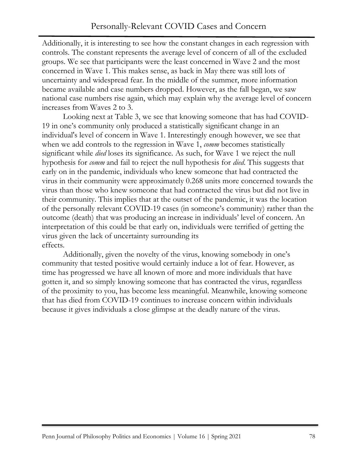Additionally, it is interesting to see how the constant changes in each regression with controls. The constant represents the average level of concern of all of the excluded groups. We see that participants were the least concerned in Wave 2 and the most concerned in Wave 1. This makes sense, as back in May there was still lots of uncertainty and widespread fear. In the middle of the summer, more information became available and case numbers dropped. However, as the fall began, we saw national case numbers rise again, which may explain why the average level of concern increases from Waves 2 to 3.

Looking next at Table 3, we see that knowing someone that has had COVID-19 in one's community only produced a statistically significant change in an individual's level of concern in Wave 1. Interestingly enough however, we see that when we add controls to the regression in Wave 1, *comm* becomes statistically significant while *died* loses its significance. As such, for Wave 1 we reject the null hypothesis for *comm* and fail to reject the null hypothesis for *died*. This suggests that early on in the pandemic, individuals who knew someone that had contracted the virus in their community were approximately 0.268 units more concerned towards the virus than those who knew someone that had contracted the virus but did not live in their community. This implies that at the outset of the pandemic, it was the location of the personally relevant COVID-19 cases (in someone's community) rather than the outcome (death) that was producing an increase in individuals' level of concern. An interpretation of this could be that early on, individuals were terrified of getting the virus given the lack of uncertainty surrounding its effects.

Additionally, given the novelty of the virus, knowing somebody in one's community that tested positive would certainly induce a lot of fear. However, as time has progressed we have all known of more and more individuals that have gotten it, and so simply knowing someone that has contracted the virus, regardless of the proximity to you, has become less meaningful. Meanwhile, knowing someone that has died from COVID-19 continues to increase concern within individuals because it gives individuals a close glimpse at the deadly nature of the virus.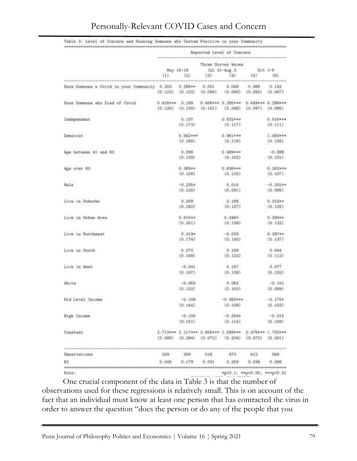|                                                                  | Reported Level of Concern |                               |         |                                           |                              |                      |  |  |  |
|------------------------------------------------------------------|---------------------------|-------------------------------|---------|-------------------------------------------|------------------------------|----------------------|--|--|--|
|                                                                  | (1)                       | May 15-18<br>(2)              | 133     | Three Survey Waves<br>Jul 31-Aug 3<br>(4) | $0ct 1-5$<br>(53)            | (6)                  |  |  |  |
| Know Someone w Covid in your Community 0.203 0.268** 0.001 0.048 |                           | $(0.123)$ $(0.122)$ $(0.094)$ |         | (0.090)                                   | 0.066<br>$(0.092)$ $(0.087)$ | 0.142.               |  |  |  |
| Know Someone who Died of Covid                                   | $0.416***$ $0.188$        | $(0.125)$ $(0.130)$           | (0.101) | $0.406***0.280***$<br>(0.098)             | 0.449*** 0.299**<br>(0.097)  | (0.095)              |  |  |  |
| Independent                                                      |                           | 0.137<br>(0.173)              |         | $0.632***$<br>(0.117)                     |                              | $0.516**$<br>(0.111) |  |  |  |
| Democrat                                                         |                           | $0.562***$<br>(0.160)         |         | $0.961***$<br>(0.116)                     |                              | 1.083**<br>(0.106)   |  |  |  |
|                                                                  |                           |                               |         |                                           |                              |                      |  |  |  |

 $0.098$ 

 $(0.139)$ 

 $0.369...$ 

 $(0.158)$ 

 $-0.235+$ 

 $(0.120)$ 

 $0.209$ 

 $(0.182)$ 

 $0.510**$  $(0.201)$ 

 $0.319*$ 

 $(0.174)$ 

 $0.270$ 

 $(0.168)$ 

 $-0.041$ 

 $(0.187)$ 

 $-0.063$ 

 $(0.132)$ 

 $-0.109$ 

 $(0.144)$ 

 $-0.150$ 

 $(0.151)$ 

309

 $0.179$ 

 $0.689***$ 

 $0.636***$ 

 $(0.120)$ 

 $0.015$ 

 $(0.091)$ 

 $0.188$ 

 $(0.127)$ 

 $0.246*$ 

 $(0.138)$ 

 $-0.029$ 

 $(0.146)$ 

 $0.169$ 

 $(0.122)$ 

 $0.157$ 

 $(0.139)$ 

 $0.062$ 

 $(0.103)$ 

 $-0.360***$ 

 $(0, 109)$ 

 $-0.204*$ 

 $(0.114)$ 

473

 $0.259$ 

612

 $0.036$ 

\*p<0.1; \*\* p<0.05; \*\*\* p<0.01

2.713\*\*\* 2.117\*\*\* 2.605\*\*\* 1.599\*\*\* 2.476\*\*\* 1.753\*\*\* (0.086) (0.284) (0.072) (0.204) (0.072) (0.201)

516

0.031

 $(0.102)$ 

 $-0.086$ 

 $(0.101)$ 

 $0.302***$ 

 $(0.107)$ 

 $-0.202**$ 

 $(0.085)$ 

 $0.310**$ 

 $(0.125)$ 

 $0.294**$ 

 $(0.132)$ 

 $0.287**$ 

 $(0.137)$ 

 $0.044$ 

 $(0.112)$ 

 $0.077$ 

 $(0.132)$ 

 $-0.101$ 

 $(0.099)$ 

 $-0.176+$ 

 $(0.103)$ 

 $-0.015$ 

 $(0.109)$ 

568

 $0.266$ 

#### Personally-Relevant COVID Cases and Concern

Age between 41 and 60

Age over 60

Live in Suburbs

Live in Urban Area

Live in Northeast

Live in South

Live in West

Mid Level Income

High Income

Chaervations

R2

Note:

Constant

**White** 

Male

One crucial component of the data in Table 3 is that the number of observations used for these regressions is relatively small. This is on account of the fact that an individual must know at least one person that has contracted the virus in order to answer the question "does the person or do any of the people that you

 $329$ 

 $0.045$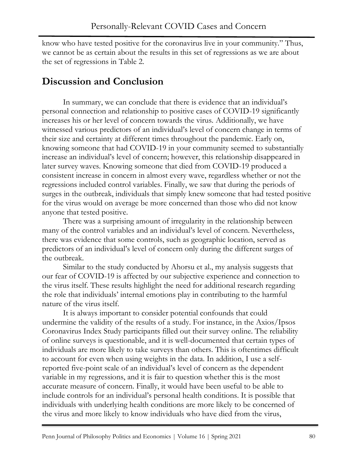know who have tested positive for the coronavirus live in your community." Thus, we cannot be as certain about the results in this set of regressions as we are about the set of regressions in Table 2.

## **Discussion and Conclusion**

In summary, we can conclude that there is evidence that an individual's personal connection and relationship to positive cases of COVID-19 significantly increases his or her level of concern towards the virus. Additionally, we have witnessed various predictors of an individual's level of concern change in terms of their size and certainty at different times throughout the pandemic. Early on, knowing someone that had COVID-19 in your community seemed to substantially increase an individual's level of concern; however, this relationship disappeared in later survey waves. Knowing someone that died from COVID-19 produced a consistent increase in concern in almost every wave, regardless whether or not the regressions included control variables. Finally, we saw that during the periods of surges in the outbreak, individuals that simply knew someone that had tested positive for the virus would on average be more concerned than those who did not know anyone that tested positive.

There was a surprising amount of irregularity in the relationship between many of the control variables and an individual's level of concern. Nevertheless, there was evidence that some controls, such as geographic location, served as predictors of an individual's level of concern only during the different surges of the outbreak.

Similar to the study conducted by Ahorsu et al., my analysis suggests that our fear of COVID-19 is affected by our subjective experience and connection to the virus itself. These results highlight the need for additional research regarding the role that individuals' internal emotions play in contributing to the harmful nature of the virus itself.

It is always important to consider potential confounds that could undermine the validity of the results of a study. For instance, in the Axios/Ipsos Coronavirus Index Study participants filled out their survey online. The reliability of online surveys is questionable, and it is well-documented that certain types of individuals are more likely to take surveys than others. This is oftentimes difficult to account for even when using weights in the data. In addition, I use a selfreported five-point scale of an individual's level of concern as the dependent variable in my regressions, and it is fair to question whether this is the most accurate measure of concern. Finally, it would have been useful to be able to include controls for an individual's personal health conditions. It is possible that individuals with underlying health conditions are more likely to be concerned of the virus and more likely to know individuals who have died from the virus,